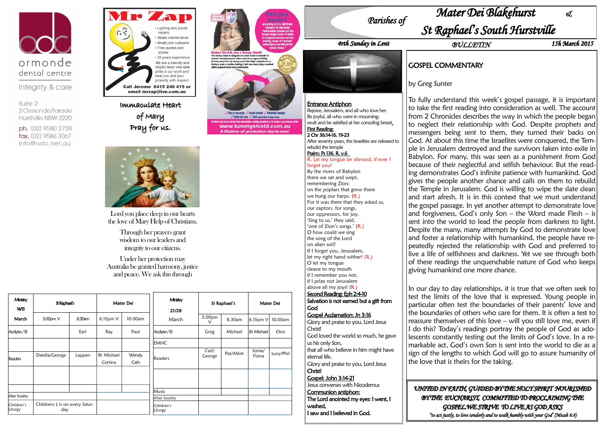

Integrity & care

Suite 2 2 Ormonde Parade Hurstville NSW 2220

ph. (02) 9580 2728 fax. (02) 9586 3067 info@odc.net.au



Immaculate Heart of Mary Pray for us.



| Ministry<br>14/15     | St Raphael's                          |        | Mater Dei                    |               | Ministry              |                 | St Raphael's |                   | Mater Dei |  |
|-----------------------|---------------------------------------|--------|------------------------------|---------------|-----------------------|-----------------|--------------|-------------------|-----------|--|
| March                 | 5.00pm V                              | 8.30am | 6.15pm V                     | 10.00am       | 21/28<br>March        | 5.00pm          | 8.30am       | 6.15pm V          | 10.00am   |  |
| Acolytes / SS         |                                       | Earl   | Ray                          | Paul          | Acolytes/SS           | Greg            | Michael      | <b>Br Michael</b> | Onsi      |  |
|                       |                                       |        |                              |               | <b>EMHC</b>           |                 |              |                   |           |  |
| Readers               | Daiella/George                        | Lappen | <b>Br Michael</b><br>Cettina | Wendy<br>Cath | Readers               | Carl/<br>George | Pat/Minh     | Sonia/<br>Fiona   | Lucy/Phil |  |
|                       |                                       |        |                              |               |                       |                 |              |                   |           |  |
|                       |                                       |        |                              |               | Music                 |                 |              |                   |           |  |
| Altar Society         |                                       |        |                              |               | Altar Society         |                 |              |                   |           |  |
| Children's<br>Liturgy | Childrens L is on every Satur-<br>day |        |                              |               | Children's<br>Liturgy |                 |              |                   |           |  |



Suits all cars / ADR (Australian Design Bala) www.tummyshield.com.au A lifetime of protection starts now.

Lord you place deep in our hearts the love of Mary Help of Christians.

> Through her prayers grant wisdom to our leaders and integrity to our citizens.

Under her protection may Australia be granted harmony, justice and peace. We ask this through

*Parishes of* 

*4rth Sunday in Lent*



# *Mater Dei Blakehurst &*

## *St Raphael's South Hurstville*

## GOSPEL COMMENTARY

by Greg Sunter

To fully understand this week's gospel passage, it is important to take the first reading into consideration as well. The account from 2 Chronicles describes the way in which the people began to neglect their relationship with God. Despite prophets and messengers being sent to them, they turned their backs on God. At about this time the Israelites were conquered, the Temple in Jerusalem destroyed and the survivors taken into exile in Babylon. For many, this was seen as a punishment from God because of their neglectful and selfish behaviour. But the reading demonstrates God"s infinite patience with humankind. God gives the people another chance and calls on them to rebuild the Temple in Jerusalem. God is willing to wipe the slate clean and start afresh. It is in this context that we must understand the gospel passage. In yet another attempt to demonstrate love and forgiveness, God's only Son – the Word made Flesh – is sent into the world to lead the people from darkness to light. Despite the many, many attempts by God to demonstrate love and foster a relationship with humankind, the people have repeatedly rejected the relationship with God and preferred to live a life of selfishness and darkness. Yet we see through both of these readings the unquenchable nature of God who keeps giving humankind one more chance.

In our day to day relationships, it is true that we often seek to test the limits of the love that is expressed. Young people in particular often test the boundaries of their parents' love and the boundaries of others who care for them. It is often a test to reassure themselves of this love – will you still love me, even if I do this? Today"s readings portray the people of God as adolescents constantly testing out the limits of God"s love. In a remarkable act, God"s own Son is sent into the world to die as a sign of the lengths to which God will go to assure humanity of the love that is theirs for the taking. *UNITED IN FAITH, GUIDED BY THE HOLY SPIRIT NOURISHED* 

*BY THE EUCHARIST, COMMITTED TO PROCLAIMING THE GOSPEL.WE STRIVE TO LIVE AS GOD ASKS "to act justly, to love tenderly and to walk humbly with your God' (Micah 6:8)* 

*BULLETIN 15h March 2015*

#### Entrance Antiphon

Rejoice, Jerusalem, and all who love her. Be joyful, all who were in mourning; exult and be satisfied at her consoling breast. First Reading:

#### 2 Chr 36:14-16. 19-23

After seventy years, the Israelites are released to rebuild the temple Psalm: Ps 136. R. v.6

#### R. Let my tongue be silenced, if ever I forget you!

By the rivers of Babylon there we sat and wept, remembering Zion; on the poplars that grew there we hung our harps. (R.) For it was there that they asked us, our captors, for songs, our oppressors, for joy. 'Sing to us,' they said, 'one of Zion's songs.' (R.) O how could we sing the song of the Lord on alien soil? If I forget you, Jerusalem, let my right hand wither! (R.) O let my tongue cleave to my mouth if I remember you not, if I prize not Jerusalem above all my joys! (R.) Second Reading: Eph 2:4-10 Salvation is not earned but a gift from God Gospel Acclamation: Jn 3:16 Glory and praise to you, Lord Jesus Christl God loved the world so much, he gave us his only Son, that all who believe in him might have eternal life. Glory and praise to you, Lord Jesus Christ! Gospel: John 3:14-21

Jesus converses with Nicodemus

Communion antiphon:

The Lord anointed my eyes: I went, I

washed,

I saw and I believed in God.